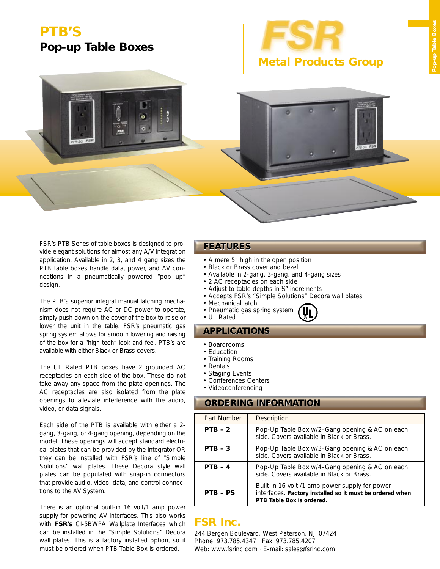## *PTB'S Pop-up Table Boxes*

# *Metal Products Group*

*FSR's PTB Series of table boxes is designed to provide elegant solutions for almost any A/V integration application. Available in 2, 3, and 4 gang sizes the PTB table boxes handle data, power, and AV connections in a pneumatically powered "pop up" design.*

*The PTB's superior integral manual latching mechanism does not require AC or DC power to operate, simply push down on the cover of the box to raise or lower the unit in the table. FSR's pneumatic gas spring system allows for smooth lowering and raising of the box for a "high tech" look and feel. PTB's are available with either Black or Brass covers.*

*The UL Rated PTB boxes have 2 grounded AC receptacles on each side of the box. These do not take away any space from the plate openings. The AC receptacles are also isolated from the plate openings to alleviate interference with the audio, video, or data signals.*

*Each side of the PTB is available with either a 2 gang, 3-gang, or 4-gang opening, depending on the model. These openings will accept standard electrical plates that can be provided by the integrator OR they can be installed with FSR's line of "Simple Solutions" wall plates. These Decora style wall plates can be populated with snap-in connectors that provide audio, video, data, and control connections to the AV System.* 

*There is an optional built-in 16 volt/1 amp power supply for powering AV interfaces. This also works with FSR's CI-5BWPA Wallplate Interfaces which can be installed in the* "Simple Solutions" *Decora wall plates.* This is a factory installed option, so it must be ordered when PTB Table Box is ordered.

#### *FEATURES*

- *A mere 5" high in the open position*
- *Black or Brass cover and bezel*
- *Available in 2-gang, 3-gang, and 4-gang sizes*
- *2 AC receptacles on each side*
- *Adjust to table depths in 1 ⁄4" increments*
- *Accepts FSR's* "Simple Solutions" *Decora wall plates*
- *Mechanical latch*
- *Pneumatic gas spring system*
- *UL Rated*



#### *APPLICATIONS APPLICATIONS*

- *Boardrooms*
- *Education*
- *Training Rooms*
- *Rentals*
- *Staging Events*
- *Conferences Centers*
- *Videoconferencing*

#### *ORDERING INFORMATION*

| <b>Part Number</b> | <b>Description</b>                                                                                                                      |
|--------------------|-----------------------------------------------------------------------------------------------------------------------------------------|
| $PTB - 2$          | Pop-Up Table Box w/2-Gang opening & AC on each<br>side. Covers available in Black or Brass.                                             |
| $PTB - 3$          | Pop-Up Table Box w/3-Gang opening & AC on each<br>side. Covers available in Black or Brass.                                             |
| $PTB - 4$          | Pop-Up Table Box w/4-Gang opening & AC on each<br>side. Covers available in Black or Brass.                                             |
| PTB - PS           | Built-in 16 volt /1 amp power supply for power<br>interfaces. Factory installed so it must be ordered when<br>PTB Table Box is ordered. |

### *FSR Inc.*

*244 Bergen Boulevard, West Paterson, NJ 07424 Phone: 973.785.4347 · Fax: 973.785.4207 Web: www.fsrinc.com · E-mail: sales@fsrinc.com*